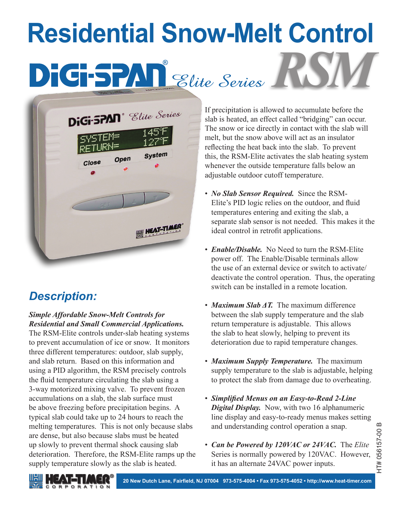# **Residential Snow-Melt Control DEGSPAN** Elite Series



# *Description:*

#### *Simple Affordable Snow-Melt Controls for Residential and Small Commercial Applications.*

The RSM-Elite controls under-slab heating systems to prevent accumulation of ice or snow. It monitors three different temperatures: outdoor, slab supply, and slab return. Based on this information and using a PID algorithm, the RSM precisely controls the fluid temperature circulating the slab using a 3-way motorized mixing valve. To prevent frozen accumulations on a slab, the slab surface must be above freezing before precipitation begins. A typical slab could take up to 24 hours to reach the melting temperatures. This is not only because slabs are dense, but also because slabs must be heated up slowly to prevent thermal shock causing slab deterioration. Therefore, the RSM-Elite ramps up the supply temperature slowly as the slab is heated.

If precipitation is allowed to accumulate before the slab is heated, an effect called "bridging" can occur. The snow or ice directly in contact with the slab will melt, but the snow above will act as an insulator reflecting the heat back into the slab. To prevent this, the RSM-Elite activates the slab heating system whenever the outside temperature falls below an adjustable outdoor cutoff temperature.

- *No Slab Sensor Required.* Since the RSM-Elite's PID logic relies on the outdoor, and fluid temperatures entering and exiting the slab, a separate slab sensor is not needed. This makes it the ideal control in retrofit applications.
- *Enable/Disable.* No Need to turn the RSM-Elite power off. The Enable/Disable terminals allow the use of an external device or switch to activate/ deactivate the control operation. Thus, the operating switch can be installed in a remote location.
- *Maximum Slab ΔT.* The maximum difference between the slab supply temperature and the slab return temperature is adjustable. This allows the slab to heat slowly, helping to prevent its deterioration due to rapid temperature changes.
- *Maximum Supply Temperature.* The maximum supply temperature to the slab is adjustable, helping to protect the slab from damage due to overheating.
- *Simplified Menus on an Easy-to-Read 2-Line Digital Display.* Now, with two 16 alphanumeric line display and easy-to-ready menus makes setting and understanding control operation a snap.
- *Can be Powered by 120VAC or 24VAC.* The *Elite* Series is normally powered by 120VAC. However, it has an alternate 24VAC power inputs.